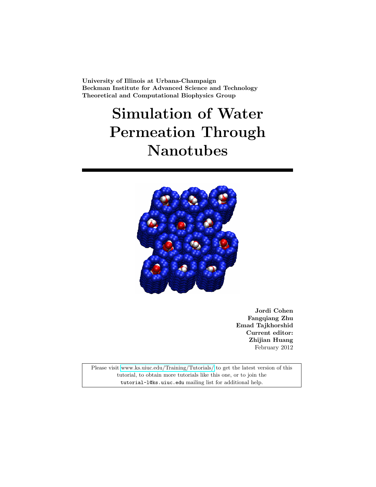University of Illinois at Urbana-Champaign Beckman Institute for Advanced Science and Technology Theoretical and Computational Biophysics Group

# Simulation of Water Permeation Through Nanotubes



Jordi Cohen Fangqiang Zhu Emad Tajkhorshid Current editor: Zhijian Huang February 2012

Please visit [www.ks.uiuc.edu/Training/Tutorials/](http://www.ks.uiuc.edu/Training/Tutorials/) to get the latest version of this tutorial, to obtain more tutorials like this one, or to join the tutorial-l@ks.uiuc.edu mailing list for additional help.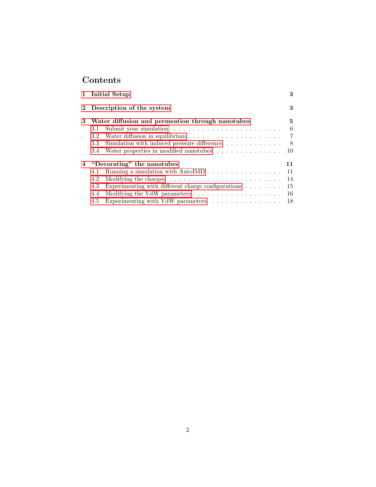# Contents

|   | 1 Initial Setup                                                                                                                                                                                                                                                                   | 3                                   |  |  |  |  |  |
|---|-----------------------------------------------------------------------------------------------------------------------------------------------------------------------------------------------------------------------------------------------------------------------------------|-------------------------------------|--|--|--|--|--|
|   | 2 Description of the system                                                                                                                                                                                                                                                       |                                     |  |  |  |  |  |
| 3 | Water diffusion and permeation through nanotubes<br>3.1<br>3.2<br>Simulation with induced pressure difference $\dots \dots \dots \dots$<br>3.3<br>Water properties in modified nanotubes<br>3.4                                                                                   | 5<br>6<br>$\overline{7}$<br>8<br>10 |  |  |  |  |  |
| 4 | "Decorating" the nanotubes<br>4.1<br>Modifying the charges $\dots \dots \dots \dots \dots \dots \dots \dots$<br>4.2<br>Experimenting with different charge configurations $\ldots \ldots$<br>4.3<br>4.4<br>Experimenting with VdW parameters $\ldots \ldots \ldots \ldots$<br>4.5 | 11<br>11<br>- 14<br>15<br>-16<br>18 |  |  |  |  |  |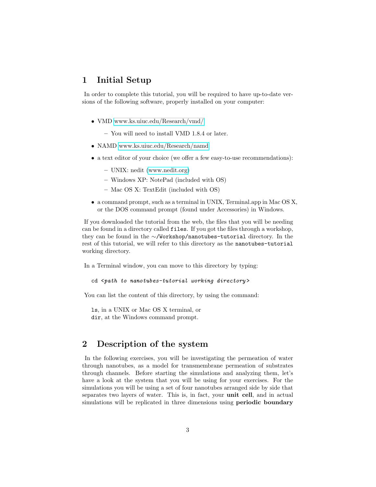## <span id="page-2-0"></span>1 Initial Setup

In order to complete this tutorial, you will be required to have up-to-date versions of the following software, properly installed on your computer:

- VMD [www.ks.uiuc.edu/Research/vmd/](http://www.ks.uiuc.edu/Research/vmd/)
	- You will need to install VMD 1.8.4 or later.
- NAMD [www.ks.uiuc.edu/Research/namd](http://www.ks.uiuc.edu/Research/namd/)
- a text editor of your choice (we offer a few easy-to-use recommendations):
	- UNIX: nedit [\(www.nedit.org\)](http://www.nedit.org/)
	- Windows XP: NotePad (included with OS)
	- Mac OS X: TextEdit (included with OS)
- a command prompt, such as a terminal in UNIX, Terminal.app in Mac OS X, or the DOS command prompt (found under Accessories) in Windows.

If you downloaded the tutorial from the web, the files that you will be needing can be found in a directory called files. If you got the files through a workshop, they can be found in the ∼/Workshop/nanotubes-tutorial directory. In the rest of this tutorial, we will refer to this directory as the nanotubes-tutorial working directory.

In a Terminal window, you can move to this directory by typing:

```
cd <path to nanotubes-tutorial working directory>
```
You can list the content of this directory, by using the command:

ls, in a UNIX or Mac OS X terminal, or dir, at the Windows command prompt.

## <span id="page-2-1"></span>2 Description of the system

In the following exercises, you will be investigating the permeation of water through nanotubes, as a model for transmembrane permeation of substrates through channels. Before starting the simulations and analyzing them, let's have a look at the system that you will be using for your exercises. For the simulations you will be using a set of four nanotubes arranged side by side that separates two layers of water. This is, in fact, your unit cell, and in actual simulations will be replicated in three dimensions using **periodic boundary**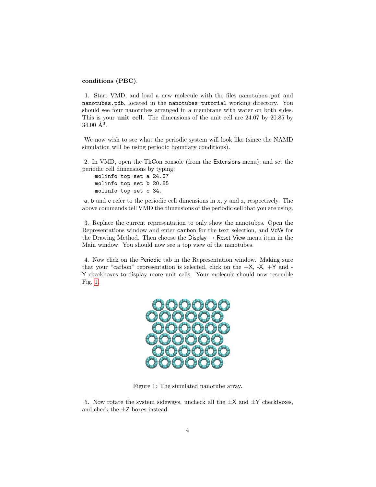#### conditions (PBC).

1. Start VMD, and load a new molecule with the files nanotubes.psf and nanotubes.pdb, located in the nanotubes-tutorial working directory. You should see four nanotubes arranged in a membrane with water on both sides. This is your unit cell. The dimensions of the unit cell are 24.07 by 20.85 by  $34.00 \text{ Å}^3$ .

We now wish to see what the periodic system will look like (since the NAMD) simulation will be using periodic boundary conditions).

2. In VMD, open the TkCon console (from the Extensions menu), and set the periodic cell dimensions by typing:

molinfo top set a 24.07 molinfo top set b 20.85 molinfo top set c 34.

a, b and c refer to the periodic cell dimensions in x, y and z, respectively. The above commands tell VMD the dimensions of the periodic cell that you are using.

3. Replace the current representation to only show the nanotubes. Open the Representations window and enter carbon for the text selection, and VdW for the Drawing Method. Then choose the Display  $\rightarrow$  Reset View menu item in the Main window. You should now see a top view of the nanotubes.

4. Now click on the Periodic tab in the Representation window. Making sure that your "carbon" representation is selected, click on the  $+X$ ,  $-X$ ,  $+Y$  and -Y checkboxes to display more unit cells. Your molecule should now resemble Fig. [1.](#page-3-0)



Figure 1: The simulated nanotube array.

<span id="page-3-0"></span>5. Now rotate the system sideways, uncheck all the  $\pm X$  and  $\pm Y$  checkboxes, and check the  $\pm Z$  boxes instead.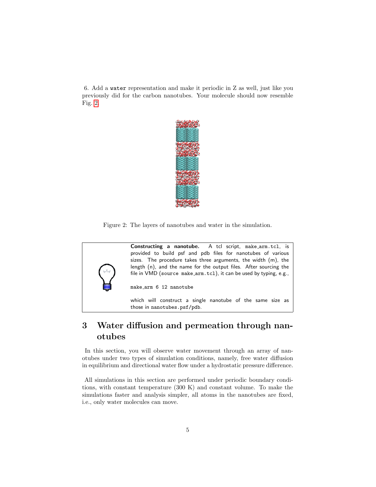6. Add a water representation and make it periodic in Z as well, just like you previously did for the carbon nanotubes. Your molecule should now resemble Fig. [2.](#page-4-1)



Figure 2: The layers of nanotubes and water in the simulation.

<span id="page-4-1"></span>

# <span id="page-4-0"></span>3 Water diffusion and permeation through nanotubes

In this section, you will observe water movement through an array of nanotubes under two types of simulation conditions, namely, free water diffusion in equilibrium and directional water flow under a hydrostatic pressure difference.

All simulations in this section are performed under periodic boundary conditions, with constant temperature (300 K) and constant volume. To make the simulations faster and analysis simpler, all atoms in the nanotubes are fixed, i.e., only water molecules can move.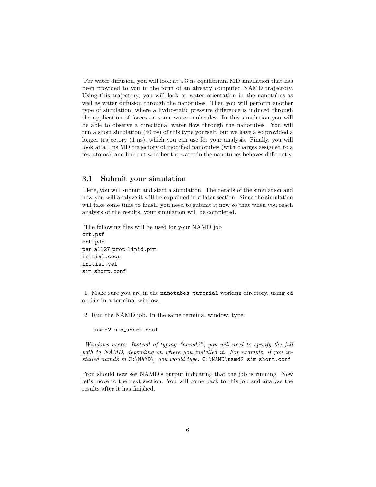For water diffusion, you will look at a 3 ns equilibrium MD simulation that has been provided to you in the form of an already computed NAMD trajectory. Using this trajectory, you will look at water orientation in the nanotubes as well as water diffusion through the nanotubes. Then you will perform another type of simulation, where a hydrostatic pressure difference is induced through the application of forces on some water molecules. In this simulation you will be able to observe a directional water flow through the nanotubes. You will run a short simulation (40 ps) of this type yourself, but we have also provided a longer trajectory (1 ns), which you can use for your analysis. Finally, you will look at a 1 ns MD trajectory of modified nanotubes (with charges assigned to a few atoms), and find out whether the water in the nanotubes behaves differently.

#### <span id="page-5-0"></span>3.1 Submit your simulation

Here, you will submit and start a simulation. The details of the simulation and how you will analyze it will be explained in a later section. Since the simulation will take some time to finish, you need to submit it now so that when you reach analysis of the results, your simulation will be completed.

The following files will be used for your NAMD job cnt.psf cnt.pdb par all27 prot lipid.prm initial.coor initial.vel sim short.conf

1. Make sure you are in the nanotubes-tutorial working directory, using cd or dir in a terminal window.

2. Run the NAMD job. In the same terminal window, type:

namd2 sim short.conf

Windows users: Instead of typing "namd2", you will need to specify the full path to NAMD, depending on where you installed it. For example, if you installed namd2 in  $C:\NAND\,$  you would type:  $C:\NAND\name{2} \sim Short.conf$ 

You should now see NAMD's output indicating that the job is running. Now let's move to the next section. You will come back to this job and analyze the results after it has finished.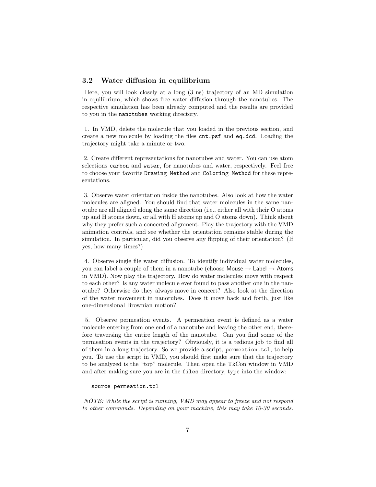#### <span id="page-6-0"></span>3.2 Water diffusion in equilibrium

Here, you will look closely at a long (3 ns) trajectory of an MD simulation in equilibrium, which shows free water diffusion through the nanotubes. The respective simulation has been already computed and the results are provided to you in the nanotubes working directory.

1. In VMD, delete the molecule that you loaded in the previous section, and create a new molecule by loading the files cnt.psf and eq.dcd. Loading the trajectory might take a minute or two.

2. Create different representations for nanotubes and water. You can use atom selections carbon and water, for nanotubes and water, respectively. Feel free to choose your favorite Drawing Method and Coloring Method for these representations.

3. Observe water orientation inside the nanotubes. Also look at how the water molecules are aligned. You should find that water molecules in the same nanotube are all aligned along the same direction (i.e., either all with their O atoms up and H atoms down, or all with H atoms up and O atoms down). Think about why they prefer such a concerted alignment. Play the trajectory with the VMD animation controls, and see whether the orientation remains stable during the simulation. In particular, did you observe any flipping of their orientation? (If yes, how many times?)

4. Observe single file water diffusion. To identify individual water molecules, you can label a couple of them in a nanotube (choose Mouse  $\rightarrow$  Label  $\rightarrow$  Atoms in VMD). Now play the trajectory. How do water molecules move with respect to each other? Is any water molecule ever found to pass another one in the nanotube? Otherwise do they always move in concert? Also look at the direction of the water movement in nanotubes. Does it move back and forth, just like one-dimensional Brownian motion?

5. Observe permeation events. A permeation event is defined as a water molecule entering from one end of a nanotube and leaving the other end, therefore traversing the entire length of the nanotube. Can you find some of the permeation events in the trajectory? Obviously, it is a tedious job to find all of them in a long trajectory. So we provide a script, permeation.tcl, to help you. To use the script in VMD, you should first make sure that the trajectory to be analyzed is the "top" molecule. Then open the TkCon window in VMD and after making sure you are in the files directory, type into the window:

source permeation.tcl

NOTE: While the script is running, VMD may appear to freeze and not respond to other commands. Depending on your machine, this may take 10-30 seconds.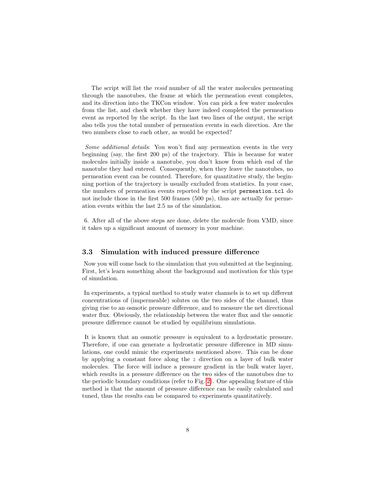The script will list the resid number of all the water molecules permeating through the nanotubes, the frame at which the permeation event completes, and its direction into the TKCon window. You can pick a few water molecules from the list, and check whether they have indeed completed the permeation event as reported by the script. In the last two lines of the output, the script also tells you the total number of permeation events in each direction. Are the two numbers close to each other, as would be expected?

Some additional details: You won't find any permeation events in the very beginning (say, the first 200 ps) of the trajectory. This is because for water molecules initially inside a nanotube, you don't know from which end of the nanotube they had entered. Consequently, when they leave the nanotubes, no permeation event can be counted. Therefore, for quantitative study, the beginning portion of the trajectory is usually excluded from statistics. In your case, the numbers of permeation events reported by the script permeation.tcl do not include those in the first 500 frames (500 ps), thus are actually for permeation events within the last 2.5 ns of the simulation.

6. After all of the above steps are done, delete the molecule from VMD, since it takes up a significant amount of memory in your machine.

#### <span id="page-7-0"></span>3.3 Simulation with induced pressure difference

Now you will come back to the simulation that you submitted at the beginning. First, let's learn something about the background and motivation for this type of simulation.

In experiments, a typical method to study water channels is to set up different concentrations of (impermeable) solutes on the two sides of the channel, thus giving rise to an osmotic pressure difference, and to measure the net directional water flux. Obviously, the relationship between the water flux and the osmotic pressure difference cannot be studied by equilibrium simulations.

It is known that an osmotic pressure is equivalent to a hydrostatic pressure. Therefore, if one can generate a hydrostatic pressure difference in MD simulations, one could mimic the experiments mentioned above. This can be done by applying a constant force along the  $z$  direction on a layer of bulk water molecules. The force will induce a pressure gradient in the bulk water layer, which results in a pressure difference on the two sides of the nanotubes due to the periodic boundary conditions (refer to Fig. [2\)](#page-4-1). One appealing feature of this method is that the amount of pressure difference can be easily calculated and tuned, thus the results can be compared to experiments quantitatively.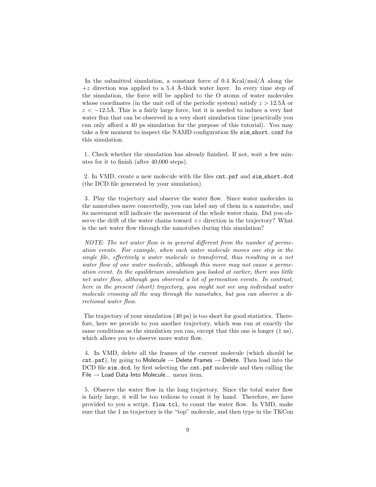In the submitted simulation, a constant force of  $0.4$  Kcal/mol/Å along the  $+z$  direction was applied to a 5.4 Å-thick water layer. In every time step of the simulation, the force will be applied to the O atoms of water molecules whose coordinates (in the unit cell of the periodic system) satisfy  $z > 12.5\text{\AA}$  or  $z < -12.5\text{\AA}$ . This is a fairly large force, but it is needed to induce a very fast water flux that can be observed in a very short simulation time (practically you can only afford a 40 ps simulation for the purpose of this tutorial). You may take a few moment to inspect the NAMD configuration file sim short.conf for this simulation.

1. Check whether the simulation has already finished. If not, wait a few minutes for it to finish (after 40,000 steps).

2. In VMD, create a new molecule with the files cnt.psf and sim short.dcd (the DCD file generated by your simulation).

3. Play the trajectory and observe the water flow. Since water molecules in the nanotubes move concertedly, you can label any of them in a nanotube, and its movement will indicate the movement of the whole water chain. Did you observe the drift of the water chains toward  $+z$  direction in the trajectory? What is the net water flow through the nanotubes during this simulation?

NOTE: The net water flow is in general different from the number of permeation events. For example, when each water molecule moves one step in the single file, effectively a water molecule is transferred, thus resulting in a net water flow of one water molecule, although this move may not cause a permeation event. In the equilibrium simulation you looked at earlier, there was little net water flow, although you observed a lot of permeation events. In contrast, here in the present (short) trajectory, you might not see any individual water molecule crossing all the way through the nanotubes, but you can observe a directional water flow.

The trajectory of your simulation (40 ps) is too short for good statistics. Therefore, here we provide to you another trajectory, which was run at exactly the same conditions as the simulation you ran, except that this one is longer (1 ns), which allows you to observe more water flow.

4. In VMD, delete all the frames of the current molecule (which should be cnt.psf), by going to Molecule  $\rightarrow$  Delete Frames  $\rightarrow$  Delete. Then load into the DCD file sim.dcd, by first selecting the cnt.psf molecule and then calling the File  $\rightarrow$  Load Data Into Molecule... menu item.

5. Observe the water flow in the long trajectory. Since the total water flow is fairly large, it will be too tedious to count it by hand. Therefore, we have provided to you a script, flow.tcl, to count the water flow. In VMD, make sure that the 1 ns trajectory is the "top" molecule, and then type in the TKCon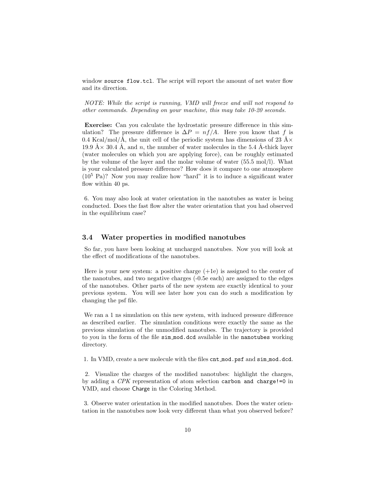window source flow.tcl. The script will report the amount of net water flow and its direction.

NOTE: While the script is running, VMD will freeze and will not respond to other commands. Depending on your machine, this may take 10-20 seconds.

Exercise: Can you calculate the hydrostatic pressure difference in this simulation? The pressure difference is  $\Delta P = nf/A$ . Here you know that f is 0.4 Kcal/mol/Å, the unit cell of the periodic system has dimensions of 23 Å $\times$ 19.9  $A \times 30.4$  Å, and n, the number of water molecules in the 5.4 Å-thick layer (water molecules on which you are applying force), can be roughly estimated by the volume of the layer and the molar volume of water (55.5 mol/l). What is your calculated pressure difference? How does it compare to one atmosphere  $(10^5 \text{ Pa})$ ? Now you may realize how "hard" it is to induce a significant water flow within 40 ps.

6. You may also look at water orientation in the nanotubes as water is being conducted. Does the fast flow alter the water orientation that you had observed in the equilibrium case?

#### <span id="page-9-0"></span>3.4 Water properties in modified nanotubes

So far, you have been looking at uncharged nanotubes. Now you will look at the effect of modifications of the nanotubes.

Here is your new system: a positive charge  $(+1e)$  is assigned to the center of the nanotubes, and two negative charges (-0.5e each) are assigned to the edges of the nanotubes. Other parts of the new system are exactly identical to your previous system. You will see later how you can do such a modification by changing the psf file.

We ran a 1 ns simulation on this new system, with induced pressure difference as described earlier. The simulation conditions were exactly the same as the previous simulation of the unmodified nanotubes. The trajectory is provided to you in the form of the file sim mod.dcd available in the nanotubes working directory.

1. In VMD, create a new molecule with the files cnt mod.psf and sim mod.dcd.

2. Visualize the charges of the modified nanotubes: highlight the charges, by adding a  $CPK$  representation of atom selection carbon and charge!=0 in VMD, and choose Charge in the Coloring Method.

3. Observe water orientation in the modified nanotubes. Does the water orientation in the nanotubes now look very different than what you observed before?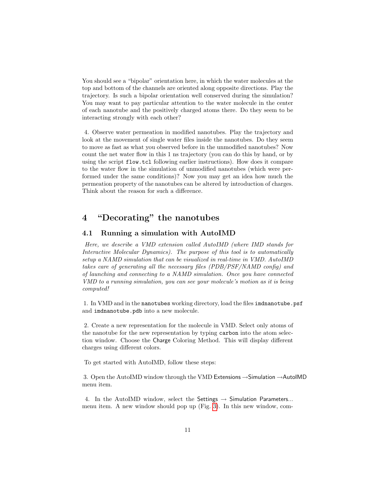You should see a "bipolar" orientation here, in which the water molecules at the top and bottom of the channels are oriented along opposite directions. Play the trajectory. Is such a bipolar orientation well conserved during the simulation? You may want to pay particular attention to the water molecule in the center of each nanotube and the positively charged atoms there. Do they seem to be interacting strongly with each other?

4. Observe water permeation in modified nanotubes. Play the trajectory and look at the movement of single water files inside the nanotubes. Do they seem to move as fast as what you observed before in the unmodified nanotubes? Now count the net water flow in this 1 ns trajectory (you can do this by hand, or by using the script flow.tcl following earlier instructions). How does it compare to the water flow in the simulation of unmodified nanotubes (which were performed under the same conditions)? Now you may get an idea how much the permeation property of the nanotubes can be altered by introduction of charges. Think about the reason for such a difference.

## <span id="page-10-0"></span>4 "Decorating" the nanotubes

#### <span id="page-10-1"></span>4.1 Running a simulation with AutoIMD

Here, we describe a VMD extension called AutoIMD (where IMD stands for Interactive Molecular Dynamics). The purpose of this tool is to automatically setup a NAMD simulation that can be visualized in real-time in VMD. AutoIMD takes care of generating all the necessary files (PDB/PSF/NAMD config) and of launching and connecting to a NAMD simulation. Once you have connected VMD to a running simulation, you can see your molecule's motion as it is being computed!

1. In VMD and in the nanotubes working directory, load the files imdnanotube.psf and imdnanotube.pdb into a new molecule.

2. Create a new representation for the molecule in VMD. Select only atoms of the nanotube for the new representation by typing carbon into the atom selection window. Choose the Charge Coloring Method. This will display different charges using different colors.

To get started with AutoIMD, follow these steps:

3. Open the AutoIMD window through the VMD Extensions →Simulation →AutoIMD menu item.

4. In the AutoIMD window, select the Settings  $\rightarrow$  Simulation Parameters... menu item. A new window should pop up (Fig. [3\)](#page-11-0). In this new window, com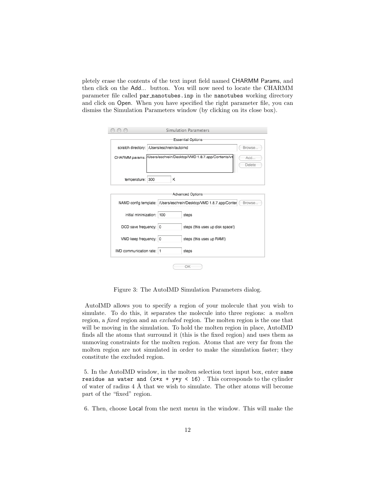pletely erase the contents of the text input field named CHARMM Params, and then click on the Add... button. You will now need to locate the CHARMM parameter file called par nanotubes.inp in the nanotubes working directory and click on Open. When you have specified the right parameter file, you can dismiss the Simulation Parameters window (by clicking on its close box).

|                                            |                                                                 | Simulation Parameters                                               |        |  |  |
|--------------------------------------------|-----------------------------------------------------------------|---------------------------------------------------------------------|--------|--|--|
| Essential Options                          |                                                                 |                                                                     |        |  |  |
| scratch directory: /Users/eschrein/autoimd | Browse                                                          |                                                                     |        |  |  |
|                                            | CHARMM params: Users/eschrein/Desktop/VMD 1.8.7.app/Contents/vn |                                                                     |        |  |  |
|                                            |                                                                 |                                                                     | Delete |  |  |
|                                            | Κ                                                               |                                                                     |        |  |  |
| temperature: 300                           |                                                                 |                                                                     |        |  |  |
|                                            |                                                                 | Advanced Options                                                    |        |  |  |
|                                            |                                                                 | NAMD config template: //Users/eschrein/Desktop/VMD 1.8.7.app/Conter | Browse |  |  |
| initial minimization: 100                  |                                                                 | steps                                                               |        |  |  |
| DCD save frequency: 0                      |                                                                 | steps (this uses up disk space!)                                    |        |  |  |
| VMD keep frequency: 0                      |                                                                 | steps (this uses up RAM!)                                           |        |  |  |
| IMD communication rate: 1                  |                                                                 | steps                                                               |        |  |  |
|                                            |                                                                 | OK                                                                  |        |  |  |

<span id="page-11-0"></span>Figure 3: The AutoIMD Simulation Parameters dialog.

AutoIMD allows you to specify a region of your molecule that you wish to simulate. To do this, it separates the molecule into three regions: a molten region, a *fixed* region and an *excluded* region. The molten region is the one that will be moving in the simulation. To hold the molten region in place, AutoIMD finds all the atoms that surround it (this is the fixed region) and uses them as unmoving constraints for the molten region. Atoms that are very far from the molten region are not simulated in order to make the simulation faster; they constitute the excluded region.

5. In the AutoIMD window, in the molten selection text input box, enter same residue as water and  $(x*x + y*y < 16)$ . This corresponds to the cylinder of water of radius  $4 \text{ Å}$  that we wish to simulate. The other atoms will become part of the "fixed" region.

6. Then, choose Local from the next menu in the window. This will make the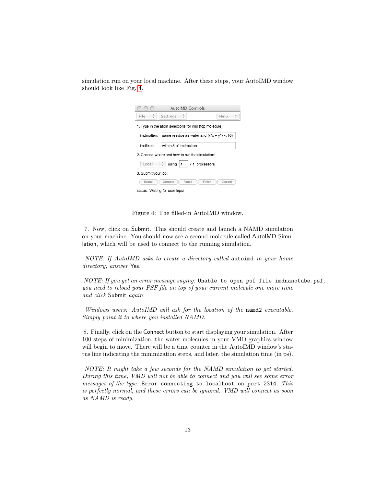| simulation run on your local machine. After these steps, your AutoIMD window |  |
|------------------------------------------------------------------------------|--|
| should look like Fig. 4.                                                     |  |

| <b>AutoIMD Controls</b>                                |                                                |  |      |  |  |  |  |
|--------------------------------------------------------|------------------------------------------------|--|------|--|--|--|--|
| $\frac{\Delta}{2}$ )<br>File                           | Settings                                       |  | Help |  |  |  |  |
| 1. Type in the atom selections for imd (top molecule): |                                                |  |      |  |  |  |  |
| imdmolten:                                             | same residue as water and $(x^*x + y^*y < 16)$ |  |      |  |  |  |  |
| imdfixed:                                              | within 8 of imdmolten                          |  |      |  |  |  |  |
| 2. Choose where and how to run the simulation:         |                                                |  |      |  |  |  |  |
| Local<br>$using \mid 1$<br>/ 1 processors              |                                                |  |      |  |  |  |  |
| 3. Submit your job:                                    |                                                |  |      |  |  |  |  |
| Submit<br>Connect<br>Pause<br>Finish<br>Discard        |                                                |  |      |  |  |  |  |
| status: Waiting for user input                         |                                                |  |      |  |  |  |  |

<span id="page-12-0"></span>Figure 4: The filled-in AutoIMD window.

7. Now, click on Submit. This should create and launch a NAMD simulation on your machine. You should now see a second molecule called AutoIMD Simulation, which will be used to connect to the running simulation.

NOTE: If AutoIMD asks to create a directory called autoimd in your home directory, answer Yes.

NOTE: If you get an error message saying: Unable to open psf file imdnanotube.psf, you need to reload your PSF file on top of your current molecule one more time and click Submit again.

Windows users: AutoIMD will ask for the location of the namd2 executable. Simply point it to where you installed NAMD.

8. Finally, click on the Connect button to start displaying your simulation. After 100 steps of minimization, the water molecules in your VMD graphics window will begin to move. There will be a time counter in the AutoIMD window's status line indicating the minimization steps, and later, the simulation time (in ps).

NOTE: It might take a few seconds for the NAMD simulation to get started. During this time, VMD will not be able to connect and you will see some error messages of the type: Error connecting to localhost on port 2314. This is perfectly normal, and these errors can be ignored. VMD will connect as soon as NAMD is ready.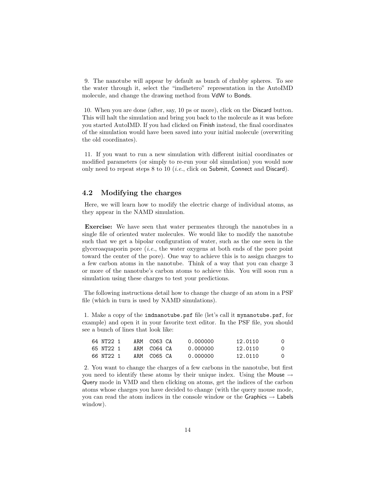9. The nanotube will appear by default as bunch of chubby spheres. To see the water through it, select the "imdhetero" representation in the AutoIMD molecule, and change the drawing method from VdW to Bonds.

10. When you are done (after, say, 10 ps or more), click on the Discard button. This will halt the simulation and bring you back to the molecule as it was before you started AutoIMD. If you had clicked on Finish instead, the final coordinates of the simulation would have been saved into your initial molecule (overwriting the old coordinates).

11. If you want to run a new simulation with different initial coordinates or modified parameters (or simply to re-run your old simulation) you would now only need to repeat steps 8 to 10 (*i.e.*, click on Submit, Connect and Discard).

#### <span id="page-13-0"></span>4.2 Modifying the charges

Here, we will learn how to modify the electric charge of individual atoms, as they appear in the NAMD simulation.

Exercise: We have seen that water permeates through the nanotubes in a single file of oriented water molecules. We would like to modify the nanotube such that we get a bipolar configuration of water, such as the one seen in the glyceroaquaporin pore  $(i.e.,$  the water oxygens at both ends of the pore point toward the center of the pore). One way to achieve this is to assign charges to a few carbon atoms in the nanotube. Think of a way that you can charge 3 or more of the nanotube's carbon atoms to achieve this. You will soon run a simulation using these charges to test your predictions.

The following instructions detail how to change the charge of an atom in a PSF file (which in turn is used by NAMD simulations).

1. Make a copy of the imdnanotube.psf file (let's call it mynanotube.psf, for example) and open it in your favorite text editor. In the PSF file, you should see a bunch of lines that look like:

| 64 NT22 1 |  | ARM CO63 CA | 0.000000 | 12.0110 | 0 |
|-----------|--|-------------|----------|---------|---|
| 65 NT22 1 |  | ARM CO64 CA | 0.000000 | 12.0110 | 0 |
| 66 NT22 1 |  | ARM CO65 CA | 0.000000 | 12.0110 | 0 |

2. You want to change the charges of a few carbons in the nanotube, but first you need to identify these atoms by their unique index. Using the Mouse  $\rightarrow$ Query mode in VMD and then clicking on atoms, get the indices of the carbon atoms whose charges you have decided to change (with the query mouse mode, you can read the atom indices in the console window or the Graphics  $\rightarrow$  Labels window).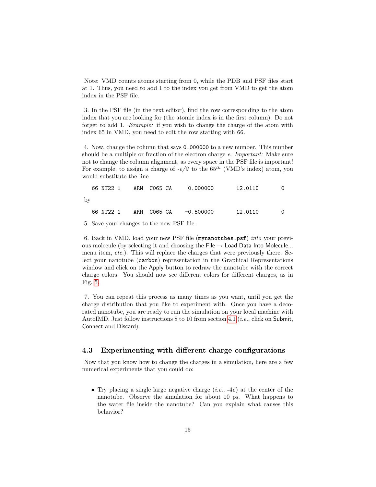Note: VMD counts atoms starting from 0, while the PDB and PSF files start at 1. Thus, you need to add 1 to the index you get from VMD to get the atom index in the PSF file.

3. In the PSF file (in the text editor), find the row corresponding to the atom index that you are looking for (the atomic index is in the first column). Do not forget to add 1. *Example:* if you wish to change the charge of the atom with index 65 in VMD, you need to edit the row starting with 66.

4. Now, change the column that says 0.000000 to a new number. This number should be a multiple or fraction of the electron charge e. Important: Make sure not to change the column alignment, as every space in the PSF file is important! For example, to assign a charge of  $-e/2$  to the 65<sup>th</sup> (VMD's index) atom, you would substitute the line

66 NT22 1 ARM C065 CA 0.000000 12.0110 0 by 66 NT22 1 ARM C065 CA -0.500000 12.0110 0

5. Save your changes to the new PSF file.

6. Back in VMD, load your new PSF file (mynanotubes.psf) into your previous molecule (by selecting it and choosing the File  $\rightarrow$  Load Data Into Molecule... menu item, etc.). This will replace the charges that were previously there. Select your nanotube (carbon) representation in the Graphical Representations window and click on the Apply button to redraw the nanotube with the correct charge colors. You should now see different colors for different charges, as in Fig. [5.](#page-15-1)

7. You can repeat this process as many times as you want, until you get the charge distribution that you like to experiment with. Once you have a decorated nanotube, you are ready to run the simulation on your local machine with AutoIMD. Just follow instructions  $8$  to 10 from section [4.1](#page-10-1) (*i.e.*, click on Submit, Connect and Discard).

#### <span id="page-14-0"></span>4.3 Experimenting with different charge configurations

Now that you know how to change the charges in a simulation, here are a few numerical experiments that you could do:

• Try placing a single large negative charge  $(i.e., -4e)$  at the center of the nanotube. Observe the simulation for about 10 ps. What happens to the water file inside the nanotube? Can you explain what causes this behavior?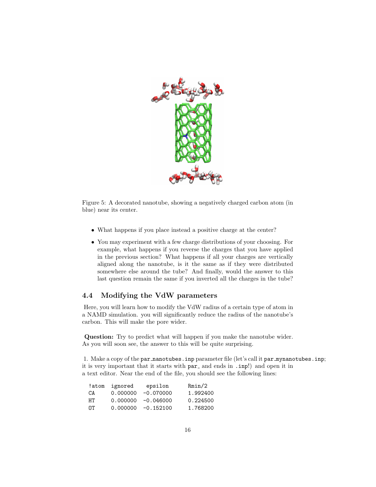

<span id="page-15-1"></span>Figure 5: A decorated nanotube, showing a negatively charged carbon atom (in blue) near its center.

- What happens if you place instead a positive charge at the center?
- You may experiment with a few charge distributions of your choosing. For example, what happens if you reverse the charges that you have applied in the previous section? What happens if all your charges are vertically aligned along the nanotube, is it the same as if they were distributed somewhere else around the tube? And finally, would the answer to this last question remain the same if you inverted all the charges in the tube?

## <span id="page-15-0"></span>4.4 Modifying the VdW parameters

Here, you will learn how to modify the VdW radius of a certain type of atom in a NAMD simulation. you will significantly reduce the radius of the nanotube's carbon. This will make the pore wider.

Question: Try to predict what will happen if you make the nanotube wider. As you will soon see, the answer to this will be quite surprising.

1. Make a copy of the par nanotubes.inp parameter file (let's call it par mynanotubes.inp; it is very important that it starts with  $par_$  and ends in . inp!) and open it in a text editor. Near the end of the file, you should see the following lines:

|     | !atom ignored | epsilon               | Rmin/2   |
|-----|---------------|-----------------------|----------|
| CA. | 0.000000      | $-0.070000$           | 1.992400 |
| HT. | 0.000000      | $-0.046000$           | 0.224500 |
| 0T. |               | $0.000000 - 0.152100$ | 1.768200 |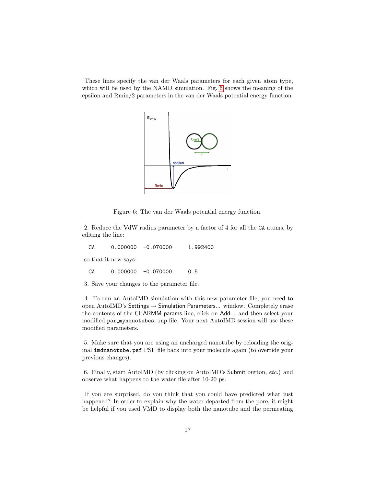These lines specify the van der Waals parameters for each given atom type, which will be used by the NAMD simulation. Fig. [6](#page-16-0) shows the meaning of the epsilon and Rmin/2 parameters in the van der Waals potential energy function.



<span id="page-16-0"></span>Figure 6: The van der Waals potential energy function.

2. Reduce the VdW radius parameter by a factor of 4 for all the CA atoms, by editing the line:

CA 0.000000 -0.070000 1.992400

so that it now says:

CA 0.000000 -0.070000 0.5

3. Save your changes to the parameter file.

4. To run an AutoIMD simulation with this new parameter file, you need to open AutoIMD's Settings  $\rightarrow$  Simulation Parameters... window. Completely erase the contents of the CHARMM params line, click on Add... and then select your modified par mynanotubes.inp file. Your next AutoIMD session will use these modified parameters.

5. Make sure that you are using an uncharged nanotube by reloading the original imdnanotube.psf PSF file back into your molecule again (to override your previous changes).

6. Finally, start AutoIMD (by clicking on AutoIMD's Submit button, etc.) and observe what happens to the water file after 10-20 ps.

If you are surprised, do you think that you could have predicted what just happened? In order to explain why the water departed from the pore, it might be helpful if you used VMD to display both the nanotube and the permeating